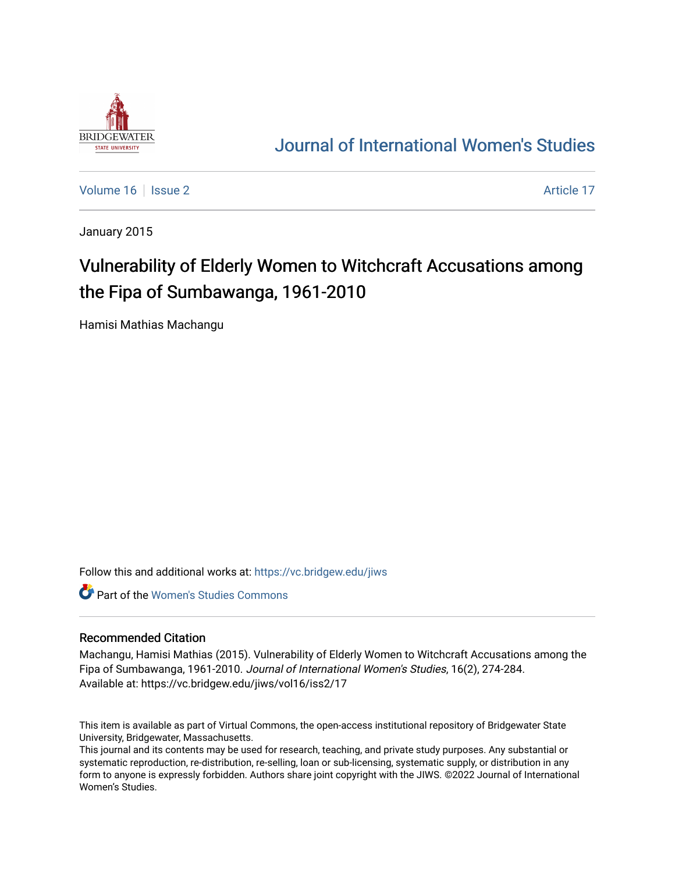

## [Journal of International Women's Studies](https://vc.bridgew.edu/jiws)

[Volume 16](https://vc.bridgew.edu/jiws/vol16) September 2 Article 17

January 2015

# Vulnerability of Elderly Women to Witchcraft Accusations among the Fipa of Sumbawanga, 1961-2010

Hamisi Mathias Machangu

Follow this and additional works at: [https://vc.bridgew.edu/jiws](https://vc.bridgew.edu/jiws?utm_source=vc.bridgew.edu%2Fjiws%2Fvol16%2Fiss2%2F17&utm_medium=PDF&utm_campaign=PDFCoverPages)

**C** Part of the Women's Studies Commons

#### Recommended Citation

Machangu, Hamisi Mathias (2015). Vulnerability of Elderly Women to Witchcraft Accusations among the Fipa of Sumbawanga, 1961-2010. Journal of International Women's Studies, 16(2), 274-284. Available at: https://vc.bridgew.edu/jiws/vol16/iss2/17

This item is available as part of Virtual Commons, the open-access institutional repository of Bridgewater State University, Bridgewater, Massachusetts.

This journal and its contents may be used for research, teaching, and private study purposes. Any substantial or systematic reproduction, re-distribution, re-selling, loan or sub-licensing, systematic supply, or distribution in any form to anyone is expressly forbidden. Authors share joint copyright with the JIWS. ©2022 Journal of International Women's Studies.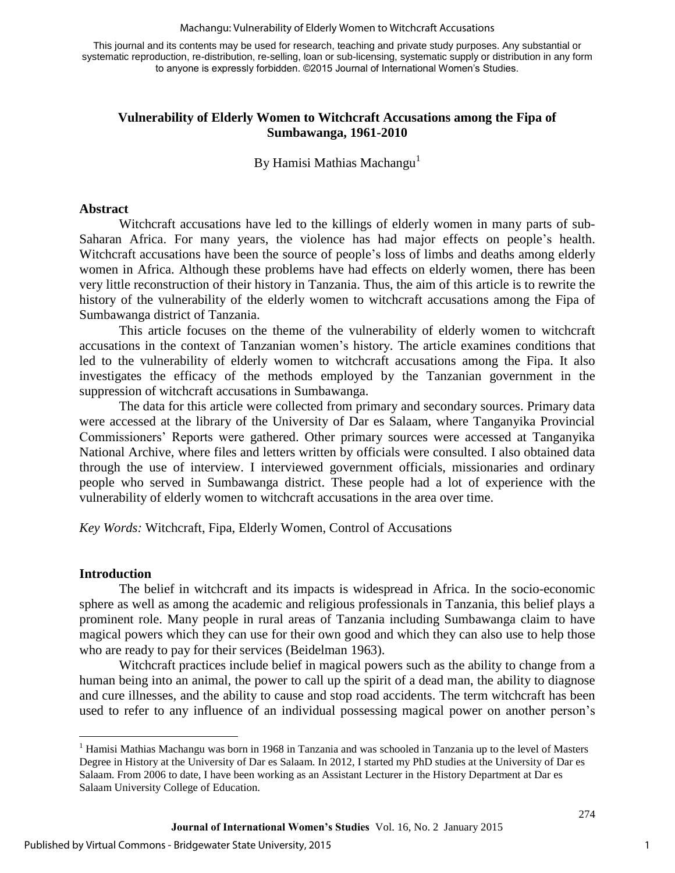#### Machangu: Vulnerability of Elderly Women to Witchcraft Accusations

This journal and its contents may be used for research, teaching and private study purposes. Any substantial or systematic reproduction, re-distribution, re-selling, loan or sub-licensing, systematic supply or distribution in any form to anyone is expressly forbidden. ©2015 Journal of International Women's Studies.

#### **Vulnerability of Elderly Women to Witchcraft Accusations among the Fipa of Sumbawanga, 1961-2010**

By Hamisi Mathias Machangu<sup>1</sup>

#### **Abstract**

Witchcraft accusations have led to the killings of elderly women in many parts of sub-Saharan Africa. For many years, the violence has had major effects on people's health. Witchcraft accusations have been the source of people's loss of limbs and deaths among elderly women in Africa. Although these problems have had effects on elderly women, there has been very little reconstruction of their history in Tanzania. Thus, the aim of this article is to rewrite the history of the vulnerability of the elderly women to witchcraft accusations among the Fipa of Sumbawanga district of Tanzania.

This article focuses on the theme of the vulnerability of elderly women to witchcraft accusations in the context of Tanzanian women's history. The article examines conditions that led to the vulnerability of elderly women to witchcraft accusations among the Fipa. It also investigates the efficacy of the methods employed by the Tanzanian government in the suppression of witchcraft accusations in Sumbawanga.

The data for this article were collected from primary and secondary sources. Primary data were accessed at the library of the University of Dar es Salaam, where Tanganyika Provincial Commissioners' Reports were gathered. Other primary sources were accessed at Tanganyika National Archive, where files and letters written by officials were consulted. I also obtained data through the use of interview. I interviewed government officials, missionaries and ordinary people who served in Sumbawanga district. These people had a lot of experience with the vulnerability of elderly women to witchcraft accusations in the area over time.

*Key Words:* Witchcraft, Fipa, Elderly Women, Control of Accusations

#### **Introduction**

 $\overline{a}$ 

The belief in witchcraft and its impacts is widespread in Africa. In the socio-economic sphere as well as among the academic and religious professionals in Tanzania, this belief plays a prominent role. Many people in rural areas of Tanzania including Sumbawanga claim to have magical powers which they can use for their own good and which they can also use to help those who are ready to pay for their services (Beidelman 1963).

Witchcraft practices include belief in magical powers such as the ability to change from a human being into an animal, the power to call up the spirit of a dead man, the ability to diagnose and cure illnesses, and the ability to cause and stop road accidents. The term witchcraft has been used to refer to any influence of an individual possessing magical power on another person's

<sup>&</sup>lt;sup>1</sup> Hamisi Mathias Machangu was born in 1968 in Tanzania and was schooled in Tanzania up to the level of Masters Degree in History at the University of Dar es Salaam. In 2012, I started my PhD studies at the University of Dar es Salaam. From 2006 to date, I have been working as an Assistant Lecturer in the History Department at Dar es Salaam University College of Education.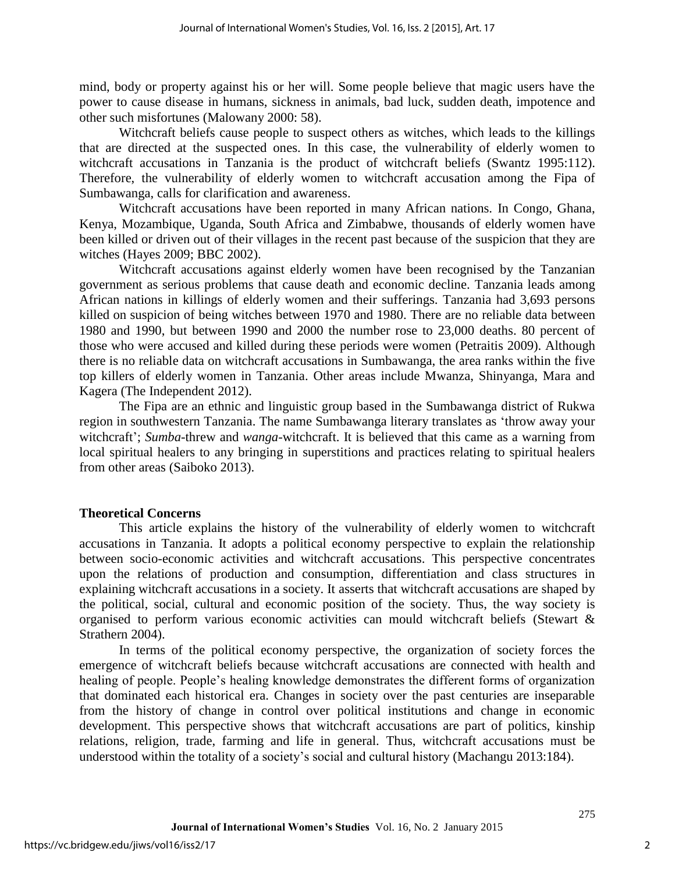mind, body or property against his or her will. Some people believe that magic users have the power to cause disease in humans, sickness in animals, bad luck, sudden death, impotence and other such misfortunes (Malowany 2000: 58).

Witchcraft beliefs cause people to suspect others as witches, which leads to the killings that are directed at the suspected ones. In this case, the vulnerability of elderly women to witchcraft accusations in Tanzania is the product of witchcraft beliefs (Swantz 1995:112). Therefore, the vulnerability of elderly women to witchcraft accusation among the Fipa of Sumbawanga, calls for clarification and awareness.

Witchcraft accusations have been reported in many African nations. In Congo, Ghana, Kenya, Mozambique, Uganda, South Africa and Zimbabwe, thousands of elderly women have been killed or driven out of their villages in the recent past because of the suspicion that they are witches (Hayes 2009; BBC 2002).

Witchcraft accusations against elderly women have been recognised by the Tanzanian government as serious problems that cause death and economic decline. Tanzania leads among African nations in killings of elderly women and their sufferings. Tanzania had 3,693 persons killed on suspicion of being witches between 1970 and 1980. There are no reliable data between 1980 and 1990, but between 1990 and 2000 the number rose to 23,000 deaths. 80 percent of those who were accused and killed during these periods were women (Petraitis 2009). Although there is no reliable data on witchcraft accusations in Sumbawanga, the area ranks within the five top killers of elderly women in Tanzania. Other areas include Mwanza, Shinyanga, Mara and Kagera (The Independent 2012).

 The Fipa are an ethnic and linguistic group based in the Sumbawanga district of Rukwa region in southwestern Tanzania. The name Sumbawanga literary translates as 'throw away your witchcraft'; *Sumba*-threw and *wanga*-witchcraft. It is believed that this came as a warning from local spiritual healers to any bringing in superstitions and practices relating to spiritual healers from other areas (Saiboko 2013).

#### **Theoretical Concerns**

This article explains the history of the vulnerability of elderly women to witchcraft accusations in Tanzania. It adopts a political economy perspective to explain the relationship between socio-economic activities and witchcraft accusations. This perspective concentrates upon the relations of production and consumption, differentiation and class structures in explaining witchcraft accusations in a society. It asserts that witchcraft accusations are shaped by the political, social, cultural and economic position of the society. Thus, the way society is organised to perform various economic activities can mould witchcraft beliefs (Stewart  $\&$ Strathern 2004).

In terms of the political economy perspective, the organization of society forces the emergence of witchcraft beliefs because witchcraft accusations are connected with health and healing of people. People's healing knowledge demonstrates the different forms of organization that dominated each historical era. Changes in society over the past centuries are inseparable from the history of change in control over political institutions and change in economic development. This perspective shows that witchcraft accusations are part of politics, kinship relations, religion, trade, farming and life in general. Thus, witchcraft accusations must be understood within the totality of a society's social and cultural history (Machangu 2013:184).

2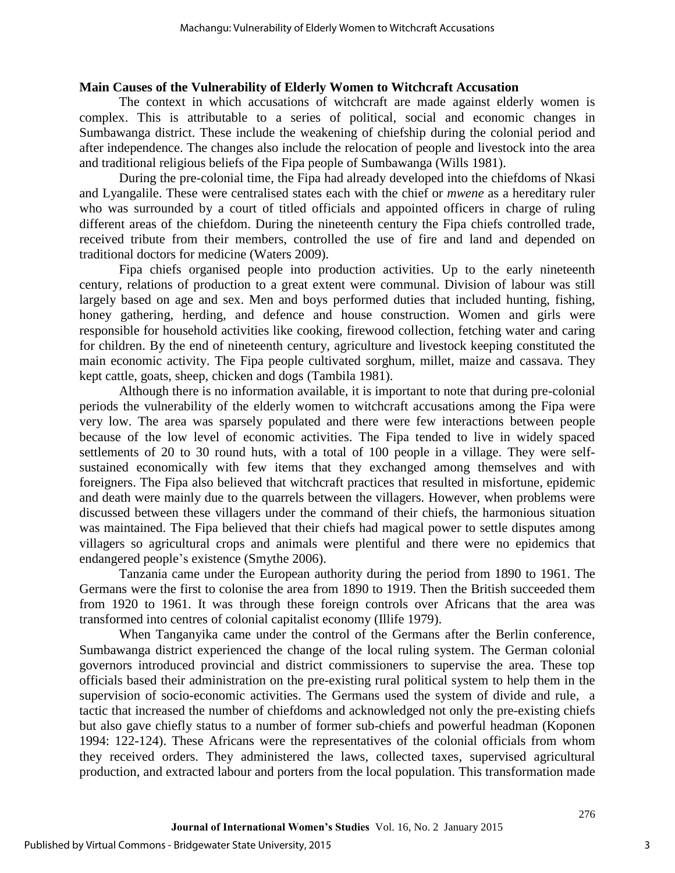#### **Main Causes of the Vulnerability of Elderly Women to Witchcraft Accusation**

The context in which accusations of witchcraft are made against elderly women is complex. This is attributable to a series of political, social and economic changes in Sumbawanga district. These include the weakening of chiefship during the colonial period and after independence. The changes also include the relocation of people and livestock into the area and traditional religious beliefs of the Fipa people of Sumbawanga (Wills 1981).

During the pre-colonial time, the Fipa had already developed into the chiefdoms of Nkasi and Lyangalile. These were centralised states each with the chief or *mwene* as a hereditary ruler who was surrounded by a court of titled officials and appointed officers in charge of ruling different areas of the chiefdom. During the nineteenth century the Fipa chiefs controlled trade, received tribute from their members, controlled the use of fire and land and depended on traditional doctors for medicine (Waters 2009).

Fipa chiefs organised people into production activities. Up to the early nineteenth century, relations of production to a great extent were communal. Division of labour was still largely based on age and sex. Men and boys performed duties that included hunting, fishing, honey gathering, herding, and defence and house construction. Women and girls were responsible for household activities like cooking, firewood collection, fetching water and caring for children. By the end of nineteenth century, agriculture and livestock keeping constituted the main economic activity. The Fipa people cultivated sorghum, millet, maize and cassava. They kept cattle, goats, sheep, chicken and dogs (Tambila 1981).

 Although there is no information available, it is important to note that during pre-colonial periods the vulnerability of the elderly women to witchcraft accusations among the Fipa were very low. The area was sparsely populated and there were few interactions between people because of the low level of economic activities. The Fipa tended to live in widely spaced settlements of 20 to 30 round huts, with a total of 100 people in a village. They were selfsustained economically with few items that they exchanged among themselves and with foreigners. The Fipa also believed that witchcraft practices that resulted in misfortune, epidemic and death were mainly due to the quarrels between the villagers. However, when problems were discussed between these villagers under the command of their chiefs, the harmonious situation was maintained. The Fipa believed that their chiefs had magical power to settle disputes among villagers so agricultural crops and animals were plentiful and there were no epidemics that endangered people's existence (Smythe 2006).

Tanzania came under the European authority during the period from 1890 to 1961. The Germans were the first to colonise the area from 1890 to 1919. Then the British succeeded them from 1920 to 1961. It was through these foreign controls over Africans that the area was transformed into centres of colonial capitalist economy (Illife 1979).

When Tanganyika came under the control of the Germans after the Berlin conference, Sumbawanga district experienced the change of the local ruling system. The German colonial governors introduced provincial and district commissioners to supervise the area. These top officials based their administration on the pre-existing rural political system to help them in the supervision of socio-economic activities. The Germans used the system of divide and rule, a tactic that increased the number of chiefdoms and acknowledged not only the pre-existing chiefs but also gave chiefly status to a number of former sub-chiefs and powerful headman (Koponen 1994: 122-124). These Africans were the representatives of the colonial officials from whom they received orders. They administered the laws, collected taxes, supervised agricultural production, and extracted labour and porters from the local population. This transformation made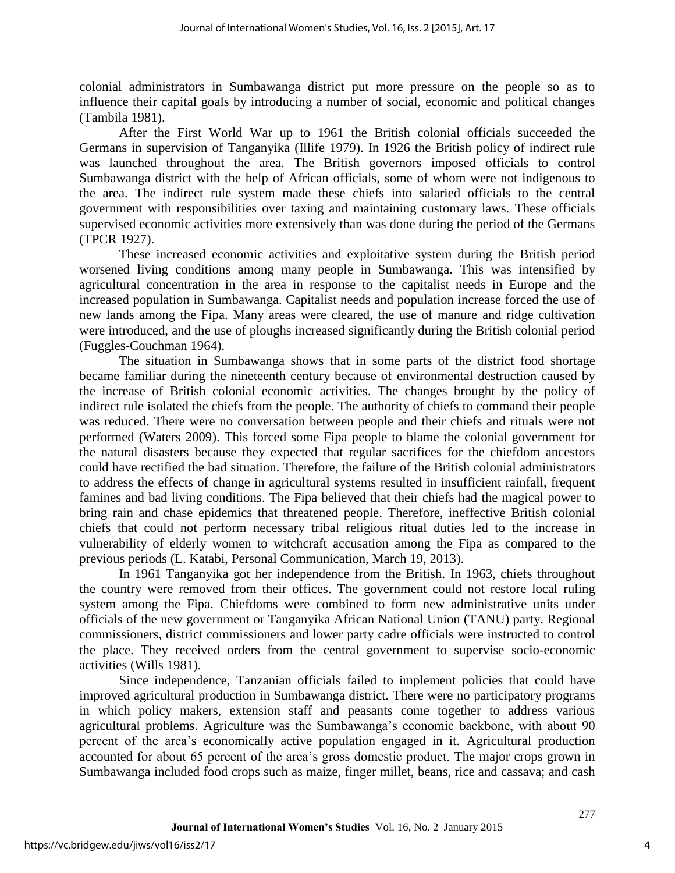colonial administrators in Sumbawanga district put more pressure on the people so as to influence their capital goals by introducing a number of social, economic and political changes (Tambila 1981).

After the First World War up to 1961 the British colonial officials succeeded the Germans in supervision of Tanganyika (Illife 1979). In 1926 the British policy of indirect rule was launched throughout the area. The British governors imposed officials to control Sumbawanga district with the help of African officials, some of whom were not indigenous to the area. The indirect rule system made these chiefs into salaried officials to the central government with responsibilities over taxing and maintaining customary laws. These officials supervised economic activities more extensively than was done during the period of the Germans (TPCR 1927).

These increased economic activities and exploitative system during the British period worsened living conditions among many people in Sumbawanga. This was intensified by agricultural concentration in the area in response to the capitalist needs in Europe and the increased population in Sumbawanga. Capitalist needs and population increase forced the use of new lands among the Fipa. Many areas were cleared, the use of manure and ridge cultivation were introduced, and the use of ploughs increased significantly during the British colonial period (Fuggles-Couchman 1964).

The situation in Sumbawanga shows that in some parts of the district food shortage became familiar during the nineteenth century because of environmental destruction caused by the increase of British colonial economic activities. The changes brought by the policy of indirect rule isolated the chiefs from the people. The authority of chiefs to command their people was reduced. There were no conversation between people and their chiefs and rituals were not performed (Waters 2009). This forced some Fipa people to blame the colonial government for the natural disasters because they expected that regular sacrifices for the chiefdom ancestors could have rectified the bad situation. Therefore, the failure of the British colonial administrators to address the effects of change in agricultural systems resulted in insufficient rainfall, frequent famines and bad living conditions. The Fipa believed that their chiefs had the magical power to bring rain and chase epidemics that threatened people. Therefore, ineffective British colonial chiefs that could not perform necessary tribal religious ritual duties led to the increase in vulnerability of elderly women to witchcraft accusation among the Fipa as compared to the previous periods (L. Katabi, Personal Communication, March 19, 2013).

In 1961 Tanganyika got her independence from the British. In 1963, chiefs throughout the country were removed from their offices. The government could not restore local ruling system among the Fipa. Chiefdoms were combined to form new administrative units under officials of the new government or Tanganyika African National Union (TANU) party. Regional commissioners, district commissioners and lower party cadre officials were instructed to control the place. They received orders from the central government to supervise socio-economic activities (Wills 1981).

Since independence, Tanzanian officials failed to implement policies that could have improved agricultural production in Sumbawanga district. There were no participatory programs in which policy makers, extension staff and peasants come together to address various agricultural problems. Agriculture was the Sumbawanga's economic backbone, with about 90 percent of the area's economically active population engaged in it. Agricultural production accounted for about 65 percent of the area's gross domestic product. The major crops grown in Sumbawanga included food crops such as maize, finger millet, beans, rice and cassava; and cash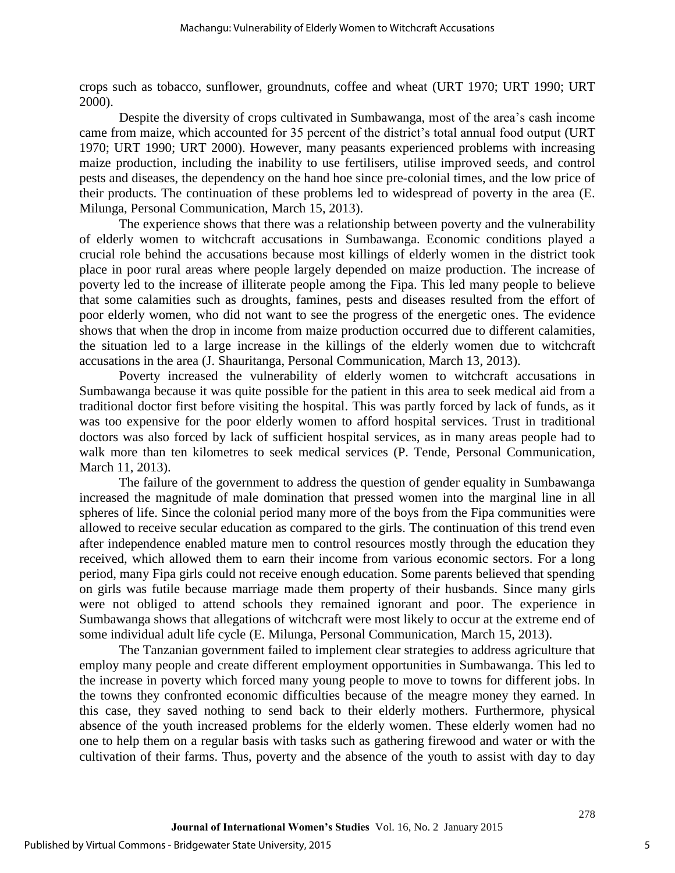crops such as tobacco, sunflower, groundnuts, coffee and wheat (URT 1970; URT 1990; URT 2000).

Despite the diversity of crops cultivated in Sumbawanga, most of the area's cash income came from maize, which accounted for 35 percent of the district's total annual food output (URT 1970; URT 1990; URT 2000). However, many peasants experienced problems with increasing maize production, including the inability to use fertilisers, utilise improved seeds, and control pests and diseases, the dependency on the hand hoe since pre-colonial times, and the low price of their products. The continuation of these problems led to widespread of poverty in the area (E. Milunga, Personal Communication, March 15, 2013).

The experience shows that there was a relationship between poverty and the vulnerability of elderly women to witchcraft accusations in Sumbawanga. Economic conditions played a crucial role behind the accusations because most killings of elderly women in the district took place in poor rural areas where people largely depended on maize production. The increase of poverty led to the increase of illiterate people among the Fipa. This led many people to believe that some calamities such as droughts, famines, pests and diseases resulted from the effort of poor elderly women, who did not want to see the progress of the energetic ones. The evidence shows that when the drop in income from maize production occurred due to different calamities, the situation led to a large increase in the killings of the elderly women due to witchcraft accusations in the area (J. Shauritanga, Personal Communication, March 13, 2013).

Poverty increased the vulnerability of elderly women to witchcraft accusations in Sumbawanga because it was quite possible for the patient in this area to seek medical aid from a traditional doctor first before visiting the hospital. This was partly forced by lack of funds, as it was too expensive for the poor elderly women to afford hospital services. Trust in traditional doctors was also forced by lack of sufficient hospital services, as in many areas people had to walk more than ten kilometres to seek medical services (P. Tende, Personal Communication, March 11, 2013).

The failure of the government to address the question of gender equality in Sumbawanga increased the magnitude of male domination that pressed women into the marginal line in all spheres of life. Since the colonial period many more of the boys from the Fipa communities were allowed to receive secular education as compared to the girls. The continuation of this trend even after independence enabled mature men to control resources mostly through the education they received, which allowed them to earn their income from various economic sectors. For a long period, many Fipa girls could not receive enough education. Some parents believed that spending on girls was futile because marriage made them property of their husbands. Since many girls were not obliged to attend schools they remained ignorant and poor. The experience in Sumbawanga shows that allegations of witchcraft were most likely to occur at the extreme end of some individual adult life cycle (E. Milunga, Personal Communication, March 15, 2013).

The Tanzanian government failed to implement clear strategies to address agriculture that employ many people and create different employment opportunities in Sumbawanga. This led to the increase in poverty which forced many young people to move to towns for different jobs. In the towns they confronted economic difficulties because of the meagre money they earned. In this case, they saved nothing to send back to their elderly mothers. Furthermore, physical absence of the youth increased problems for the elderly women. These elderly women had no one to help them on a regular basis with tasks such as gathering firewood and water or with the cultivation of their farms. Thus, poverty and the absence of the youth to assist with day to day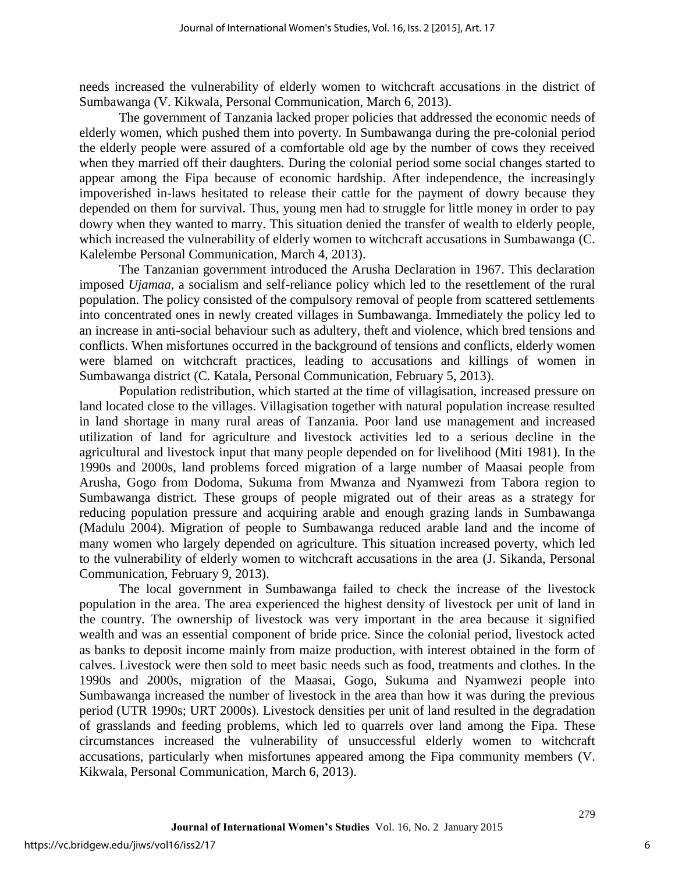needs increased the vulnerability of elderly women to witchcraft accusations in the district of Sumbawanga (V. Kikwala, Personal Communication, March 6, 2013).

The government of Tanzania lacked proper policies that addressed the economic needs of elderly women, which pushed them into poverty. In Sumbawanga during the pre-colonial period the elderly people were assured of a comfortable old age by the number of cows they received when they married off their daughters. During the colonial period some social changes started to appear among the Fipa because of economic hardship. After independence, the increasingly impoverished in-laws hesitated to release their cattle for the payment of dowry because they depended on them for survival. Thus, young men had to struggle for little money in order to pay dowry when they wanted to marry. This situation denied the transfer of wealth to elderly people, which increased the vulnerability of elderly women to witchcraft accusations in Sumbawanga (C. Kalelembe Personal Communication, March 4, 2013).

The Tanzanian government introduced the Arusha Declaration in 1967. This declaration imposed *Ujamaa*, a socialism and self-reliance policy which led to the resettlement of the rural population. The policy consisted of the compulsory removal of people from scattered settlements into concentrated ones in newly created villages in Sumbawanga. Immediately the policy led to an increase in anti-social behaviour such as adultery, theft and violence, which bred tensions and conflicts. When misfortunes occurred in the background of tensions and conflicts, elderly women were blamed on witchcraft practices, leading to accusations and killings of women in Sumbawanga district (C. Katala, Personal Communication, February 5, 2013).

Population redistribution, which started at the time of villagisation, increased pressure on land located close to the villages. Villagisation together with natural population increase resulted in land shortage in many rural areas of Tanzania. Poor land use management and increased utilization of land for agriculture and livestock activities led to a serious decline in the agricultural and livestock input that many people depended on for livelihood (Miti 1981). In the 1990s and 2000s, land problems forced migration of a large number of Maasai people from Arusha, Gogo from Dodoma, Sukuma from Mwanza and Nyamwezi from Tabora region to Sumbawanga district. These groups of people migrated out of their areas as a strategy for reducing population pressure and acquiring arable and enough grazing lands in Sumbawanga (Madulu 2004). Migration of people to Sumbawanga reduced arable land and the income of many women who largely depended on agriculture. This situation increased poverty, which led to the vulnerability of elderly women to witchcraft accusations in the area (J. Sikanda, Personal Communication, February 9, 2013).

The local government in Sumbawanga failed to check the increase of the livestock population in the area. The area experienced the highest density of livestock per unit of land in the country. The ownership of livestock was very important in the area because it signified wealth and was an essential component of bride price. Since the colonial period, livestock acted as banks to deposit income mainly from maize production, with interest obtained in the form of calves. Livestock were then sold to meet basic needs such as food, treatments and clothes. In the 1990s and 2000s, migration of the Maasai, Gogo, Sukuma and Nyamwezi people into Sumbawanga increased the number of livestock in the area than how it was during the previous period (UTR 1990s; URT 2000s). Livestock densities per unit of land resulted in the degradation of grasslands and feeding problems, which led to quarrels over land among the Fipa. These circumstances increased the vulnerability of unsuccessful elderly women to witchcraft accusations, particularly when misfortunes appeared among the Fipa community members (V. Kikwala, Personal Communication, March 6, 2013).

6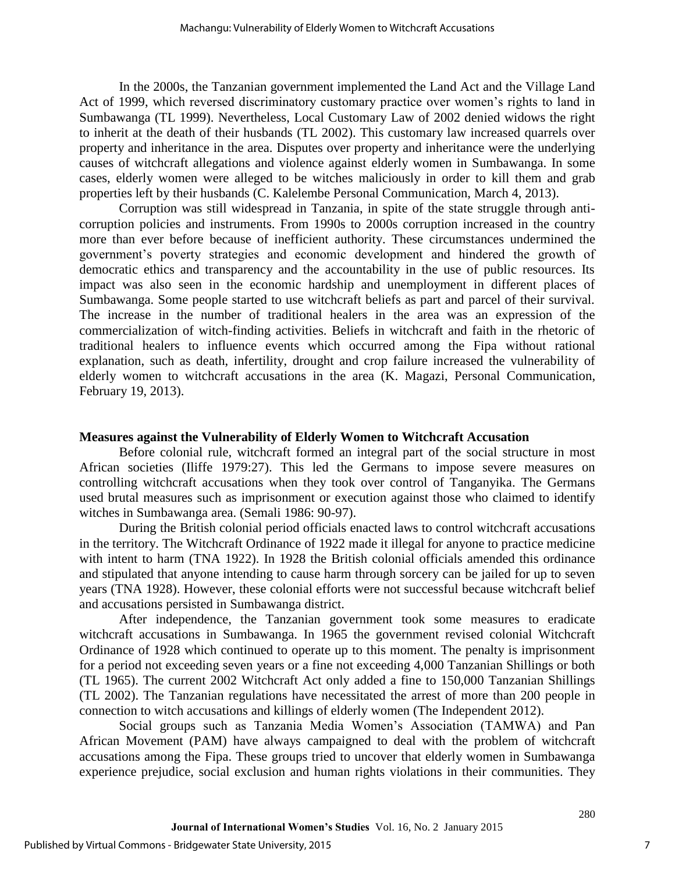In the 2000s, the Tanzanian government implemented the Land Act and the Village Land Act of 1999, which reversed discriminatory customary practice over women's rights to land in Sumbawanga (TL 1999). Nevertheless, Local Customary Law of 2002 denied widows the right to inherit at the death of their husbands (TL 2002). This customary law increased quarrels over property and inheritance in the area. Disputes over property and inheritance were the underlying causes of witchcraft allegations and violence against elderly women in Sumbawanga. In some cases, elderly women were alleged to be witches maliciously in order to kill them and grab properties left by their husbands (C. Kalelembe Personal Communication, March 4, 2013).

Corruption was still widespread in Tanzania, in spite of the state struggle through anticorruption policies and instruments. From 1990s to 2000s corruption increased in the country more than ever before because of inefficient authority. These circumstances undermined the government's poverty strategies and economic development and hindered the growth of democratic ethics and transparency and the accountability in the use of public resources. Its impact was also seen in the economic hardship and unemployment in different places of Sumbawanga. Some people started to use witchcraft beliefs as part and parcel of their survival. The increase in the number of traditional healers in the area was an expression of the commercialization of witch-finding activities. Beliefs in witchcraft and faith in the rhetoric of traditional healers to influence events which occurred among the Fipa without rational explanation, such as death, infertility, drought and crop failure increased the vulnerability of elderly women to witchcraft accusations in the area (K. Magazi, Personal Communication, February 19, 2013).

#### **Measures against the Vulnerability of Elderly Women to Witchcraft Accusation**

Before colonial rule, witchcraft formed an integral part of the social structure in most African societies (Iliffe 1979:27). This led the Germans to impose severe measures on controlling witchcraft accusations when they took over control of Tanganyika. The Germans used brutal measures such as imprisonment or execution against those who claimed to identify witches in Sumbawanga area. (Semali 1986: 90-97).

During the British colonial period officials enacted laws to control witchcraft accusations in the territory. The Witchcraft Ordinance of 1922 made it illegal for anyone to practice medicine with intent to harm (TNA 1922). In 1928 the British colonial officials amended this ordinance and stipulated that anyone intending to cause harm through sorcery can be jailed for up to seven years (TNA 1928). However, these colonial efforts were not successful because witchcraft belief and accusations persisted in Sumbawanga district.

After independence, the Tanzanian government took some measures to eradicate witchcraft accusations in Sumbawanga. In 1965 the government revised colonial Witchcraft Ordinance of 1928 which continued to operate up to this moment. The penalty is imprisonment for a period not exceeding seven years or a fine not exceeding 4,000 Tanzanian Shillings or both (TL 1965). The current 2002 Witchcraft Act only added a fine to 150,000 Tanzanian Shillings (TL 2002). The Tanzanian regulations have necessitated the arrest of more than 200 people in connection to witch accusations and killings of elderly women (The Independent 2012).

Social groups such as Tanzania Media Women's Association (TAMWA) and Pan African Movement (PAM) have always campaigned to deal with the problem of witchcraft accusations among the Fipa. These groups tried to uncover that elderly women in Sumbawanga experience prejudice, social exclusion and human rights violations in their communities. They

7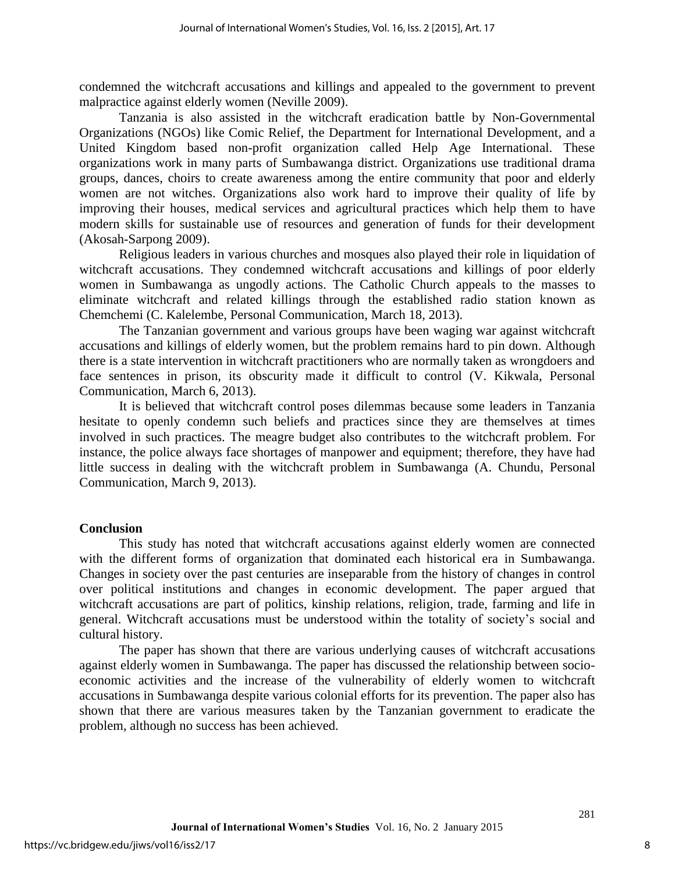condemned the witchcraft accusations and killings and appealed to the government to prevent malpractice against elderly women (Neville 2009).

Tanzania is also assisted in the witchcraft eradication battle by Non-Governmental Organizations (NGOs) like Comic Relief, the Department for International Development, and a United Kingdom based non-profit organization called Help Age International. These organizations work in many parts of Sumbawanga district. Organizations use traditional drama groups, dances, choirs to create awareness among the entire community that poor and elderly women are not witches. Organizations also work hard to improve their quality of life by improving their houses, medical services and agricultural practices which help them to have modern skills for sustainable use of resources and generation of funds for their development (Akosah-Sarpong 2009).

Religious leaders in various churches and mosques also played their role in liquidation of witchcraft accusations. They condemned witchcraft accusations and killings of poor elderly women in Sumbawanga as ungodly actions. The Catholic Church appeals to the masses to eliminate witchcraft and related killings through the established radio station known as Chemchemi (C. Kalelembe, Personal Communication, March 18, 2013).

The Tanzanian government and various groups have been waging war against witchcraft accusations and killings of elderly women, but the problem remains hard to pin down. Although there is a state intervention in witchcraft practitioners who are normally taken as wrongdoers and face sentences in prison, its obscurity made it difficult to control (V. Kikwala, Personal Communication, March 6, 2013).

It is believed that witchcraft control poses dilemmas because some leaders in Tanzania hesitate to openly condemn such beliefs and practices since they are themselves at times involved in such practices. The meagre budget also contributes to the witchcraft problem. For instance, the police always face shortages of manpower and equipment; therefore, they have had little success in dealing with the witchcraft problem in Sumbawanga (A. Chundu, Personal Communication, March 9, 2013).

#### **Conclusion**

This study has noted that witchcraft accusations against elderly women are connected with the different forms of organization that dominated each historical era in Sumbawanga. Changes in society over the past centuries are inseparable from the history of changes in control over political institutions and changes in economic development. The paper argued that witchcraft accusations are part of politics, kinship relations, religion, trade, farming and life in general. Witchcraft accusations must be understood within the totality of society's social and cultural history.

The paper has shown that there are various underlying causes of witchcraft accusations against elderly women in Sumbawanga. The paper has discussed the relationship between socioeconomic activities and the increase of the vulnerability of elderly women to witchcraft accusations in Sumbawanga despite various colonial efforts for its prevention. The paper also has shown that there are various measures taken by the Tanzanian government to eradicate the problem, although no success has been achieved.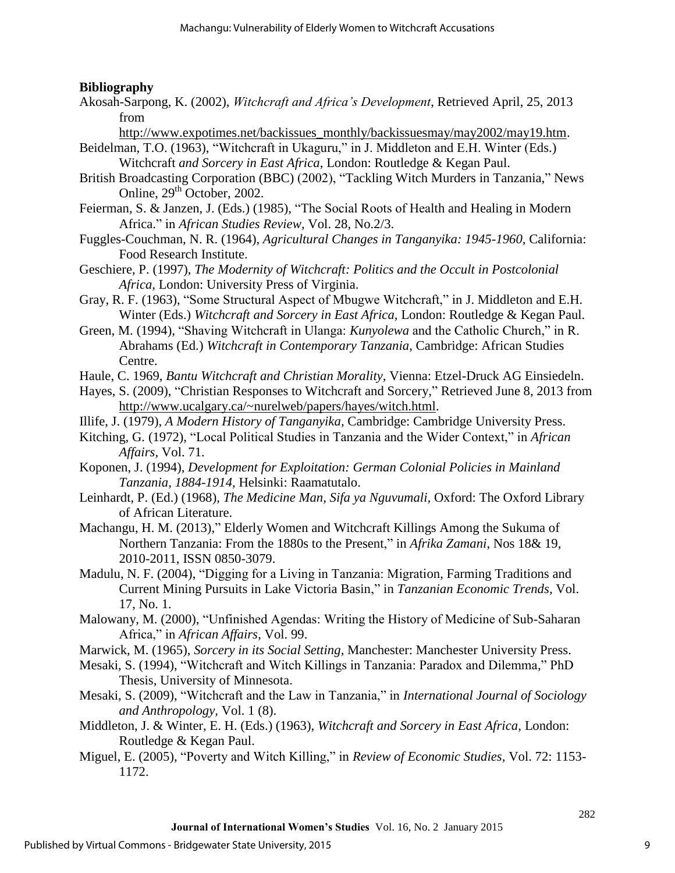### **Bibliography**

Akosah-Sarpong, K. (2002), *Witchcraft and Africa's Development*, Retrieved April, 25, 2013 from

[http://www.expotimes.net/backissues\\_monthly/backissuesmay/may2002/may19.htm.](http://www.expotimes.net/backissues_monthly/backissuesmay/may2002/may19.htm)

- Beidelman, T.O. (1963), "Witchcraft in Ukaguru," in J. Middleton and E.H. Winter (Eds.) Witchcraft *and Sorcery in East Africa*, London: Routledge & Kegan Paul.
- British Broadcasting Corporation (BBC) (2002), "Tackling Witch Murders in Tanzania," News Online, 29<sup>th</sup> October, 2002.
- Feierman, S. & Janzen, J. (Eds.) (1985), "The Social Roots of Health and Healing in Modern Africa." in *African Studies Review,* Vol. 28, No.2/3.
- Fuggles-Couchman, N. R. (1964), *Agricultural Changes in Tanganyika: 1945-1960,* California: Food Research Institute.
- Geschiere, P. (1997), *The Modernity of Witchcraft: Politics and the Occult in Postcolonial Africa,* London: University Press of Virginia.
- Gray, R. F. (1963), "Some Structural Aspect of Mbugwe Witchcraft," in J. Middleton and E.H. Winter (Eds.) *Witchcraft and Sorcery in East Africa,* London: Routledge & Kegan Paul.
- Green, M. (1994), "Shaving Witchcraft in Ulanga: *Kunyolewa* and the Catholic Church," in R. Abrahams (Ed.) *Witchcraft in Contemporary Tanzania*, Cambridge: African Studies Centre.
- Haule, C. 1969, *Bantu Witchcraft and Christian Morality,* Vienna: Etzel-Druck AG Einsiedeln.
- Hayes, S. (2009), "Christian Responses to Witchcraft and Sorcery," Retrieved June 8, 2013 from [http://www.ucalgary.ca/~nurelweb/papers/hayes/witch.html.](http://www.ucalgary.ca/~nurelweb/papers/hayes/witch.html)
- Illife, J. (1979), *A Modern History of Tanganyika,* Cambridge: Cambridge University Press.
- Kitching, G. (1972), "Local Political Studies in Tanzania and the Wider Context," in *African Affairs,* Vol. 71.
- Koponen, J. (1994), *Development for Exploitation: German Colonial Policies in Mainland Tanzania, 1884-1914,* Helsinki: Raamatutalo.
- Leinhardt, P. (Ed.) (1968), *The Medicine Man, Sifa ya Nguvumali,* Oxford: The Oxford Library of African Literature.
- Machangu, H. M. (2013)," Elderly Women and Witchcraft Killings Among the Sukuma of Northern Tanzania: From the 1880s to the Present," in *Afrika Zamani*, Nos 18& 19, 2010-2011, ISSN 0850-3079.
- Madulu, N. F. (2004), "Digging for a Living in Tanzania: Migration, Farming Traditions and Current Mining Pursuits in Lake Victoria Basin," in *Tanzanian Economic Trends,* Vol. 17, No. 1.
- Malowany, M. (2000), "Unfinished Agendas: Writing the History of Medicine of Sub-Saharan Africa," in *African Affairs*, Vol. 99.
- Marwick, M. (1965), *Sorcery in its Social Setting,* Manchester: Manchester University Press.
- Mesaki, S. (1994), "Witchcraft and Witch Killings in Tanzania: Paradox and Dilemma," PhD Thesis, University of Minnesota.
- Mesaki, S. (2009), "Witchcraft and the Law in Tanzania," in *International Journal of Sociology and Anthropology,* Vol. 1 (8).
- Middleton, J. & Winter, E. H. (Eds.) (1963), *Witchcraft and Sorcery in East Africa,* London: Routledge & Kegan Paul.
- Miguel, E. (2005), "Poverty and Witch Killing," in *Review of Economic Studies,* Vol. 72: 1153- 1172.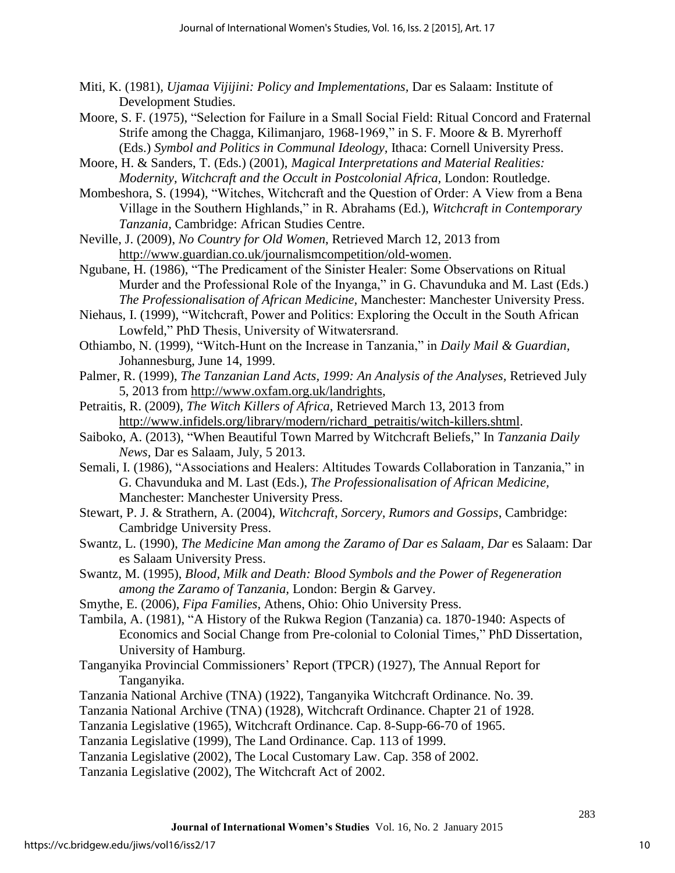- Miti, K. (1981), *Ujamaa Vijijini: Policy and Implementations,* Dar es Salaam: Institute of Development Studies.
- Moore, S. F. (1975), "Selection for Failure in a Small Social Field: Ritual Concord and Fraternal Strife among the Chagga, Kilimanjaro, 1968-1969," in S. F. Moore & B. Myrerhoff (Eds.) *Symbol and Politics in Communal Ideology,* Ithaca: Cornell University Press.
- Moore, H. & Sanders, T. (Eds.) (2001), *Magical Interpretations and Material Realities: Modernity, Witchcraft and the Occult in Postcolonial Africa, London: Routledge.*
- Mombeshora, S. (1994), "Witches, Witchcraft and the Question of Order: A View from a Bena Village in the Southern Highlands," in R. Abrahams (Ed.), *Witchcraft in Contemporary Tanzania,* Cambridge: African Studies Centre.
- Neville, J. (2009), *No Country for Old Women*, Retrieved March 12, 2013 from [http://www.guardian.co.uk/journalismcompetition/old-women.](http://www.guardian.co.uk/journalismcompetition/old-women)
- Ngubane, H. (1986), "The Predicament of the Sinister Healer: Some Observations on Ritual Murder and the Professional Role of the Inyanga," in G. Chavunduka and M. Last (Eds.) *The Professionalisation of African Medicine,* Manchester: Manchester University Press.
- Niehaus, I. (1999), "Witchcraft, Power and Politics: Exploring the Occult in the South African Lowfeld," PhD Thesis, University of Witwatersrand.
- Othiambo, N. (1999), "Witch-Hunt on the Increase in Tanzania," in *Daily Mail & Guardian,*  Johannesburg, June 14, 1999.
- Palmer, R. (1999), *The Tanzanian Land Acts, 1999: An Analysis of the Analyses,* Retrieved July 5, 2013 from [http://www.oxfam.org.uk/landrights,](http://www.oxfam.org.uk/landrights)
- Petraitis, R. (2009), *The Witch Killers of Africa*, Retrieved March 13, 2013 from [http://www.infidels.org/library/modern/richard\\_petraitis/witch-killers.shtml.](http://www.infidels.org/library/modern/richard_petraitis/witch-killers.shtml)
- Saiboko, A. (2013), "When Beautiful Town Marred by Witchcraft Beliefs," In *Tanzania Daily News,* Dar es Salaam, July, 5 2013.
- Semali, I. (1986), "Associations and Healers: Altitudes Towards Collaboration in Tanzania," in G. Chavunduka and M. Last (Eds.), *The Professionalisation of African Medicine,* Manchester: Manchester University Press.
- Stewart, P. J. & Strathern, A. (2004), *Witchcraft, Sorcery, Rumors and Gossips*, Cambridge: Cambridge University Press.
- Swantz, L. (1990), *The Medicine Man among the Zaramo of Dar es Salaam, Dar* es Salaam: Dar es Salaam University Press.
- Swantz, M. (1995), *Blood, Milk and Death: Blood Symbols and the Power of Regeneration among the Zaramo of Tanzania,* London: Bergin & Garvey.
- Smythe, E. (2006), *Fipa Families*, Athens, Ohio: Ohio University Press.
- Tambila, A. (1981), "A History of the Rukwa Region (Tanzania) ca. 1870-1940: Aspects of Economics and Social Change from Pre-colonial to Colonial Times," PhD Dissertation, University of Hamburg.
- Tanganyika Provincial Commissioners' Report (TPCR) (1927), The Annual Report for Tanganyika.
- Tanzania National Archive (TNA) (1922), Tanganyika Witchcraft Ordinance. No. 39.
- Tanzania National Archive (TNA) (1928), Witchcraft Ordinance. Chapter 21 of 1928.
- Tanzania Legislative (1965), Witchcraft Ordinance. Cap. 8-Supp-66-70 of 1965.
- Tanzania Legislative (1999), The Land Ordinance. Cap. 113 of 1999.
- Tanzania Legislative (2002), The Local Customary Law. Cap. 358 of 2002.
- Tanzania Legislative (2002), The Witchcraft Act of 2002.